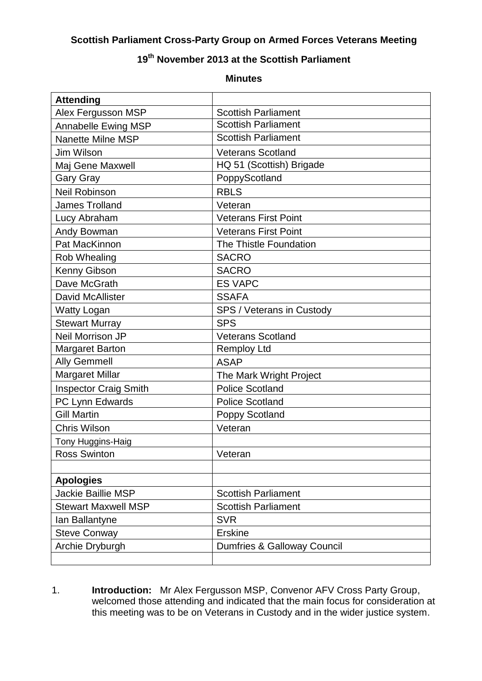## **Scottish Parliament Cross-Party Group on Armed Forces Veterans Meeting**

## **19th November 2013 at the Scottish Parliament**

## **Minutes**

| <b>Attending</b>             |                             |  |
|------------------------------|-----------------------------|--|
| Alex Fergusson MSP           | <b>Scottish Parliament</b>  |  |
| <b>Annabelle Ewing MSP</b>   | <b>Scottish Parliament</b>  |  |
| <b>Nanette Milne MSP</b>     | <b>Scottish Parliament</b>  |  |
| Jim Wilson                   | <b>Veterans Scotland</b>    |  |
| Maj Gene Maxwell             | HQ 51 (Scottish) Brigade    |  |
| <b>Gary Gray</b>             | PoppyScotland               |  |
| <b>Neil Robinson</b>         | <b>RBLS</b>                 |  |
| <b>James Trolland</b>        | Veteran                     |  |
| Lucy Abraham                 | <b>Veterans First Point</b> |  |
| Andy Bowman                  | <b>Veterans First Point</b> |  |
| Pat MacKinnon                | The Thistle Foundation      |  |
| Rob Whealing                 | <b>SACRO</b>                |  |
| Kenny Gibson                 | <b>SACRO</b>                |  |
| Dave McGrath                 | <b>ES VAPC</b>              |  |
| <b>David McAllister</b>      | <b>SSAFA</b>                |  |
| <b>Watty Logan</b>           | SPS / Veterans in Custody   |  |
| <b>Stewart Murray</b>        | <b>SPS</b>                  |  |
| Neil Morrison JP             | <b>Veterans Scotland</b>    |  |
| <b>Margaret Barton</b>       | <b>Remploy Ltd</b>          |  |
| <b>Ally Gemmell</b>          | <b>ASAP</b>                 |  |
| <b>Margaret Millar</b>       | The Mark Wright Project     |  |
| <b>Inspector Craig Smith</b> | <b>Police Scotland</b>      |  |
| PC Lynn Edwards              | <b>Police Scotland</b>      |  |
| <b>Gill Martin</b>           | Poppy Scotland              |  |
| <b>Chris Wilson</b>          | Veteran                     |  |
| Tony Huggins-Haig            |                             |  |
| <b>Ross Swinton</b>          | Veteran                     |  |
|                              |                             |  |
| <b>Apologies</b>             |                             |  |
| <b>Jackie Baillie MSP</b>    | <b>Scottish Parliament</b>  |  |
| <b>Stewart Maxwell MSP</b>   | <b>Scottish Parliament</b>  |  |
| Ian Ballantyne               | <b>SVR</b>                  |  |
| <b>Steve Conway</b>          | <b>Erskine</b>              |  |
| Archie Dryburgh              | Dumfries & Galloway Council |  |
|                              |                             |  |

1. **Introduction:** Mr Alex Fergusson MSP, Convenor AFV Cross Party Group, welcomed those attending and indicated that the main focus for consideration at this meeting was to be on Veterans in Custody and in the wider justice system.